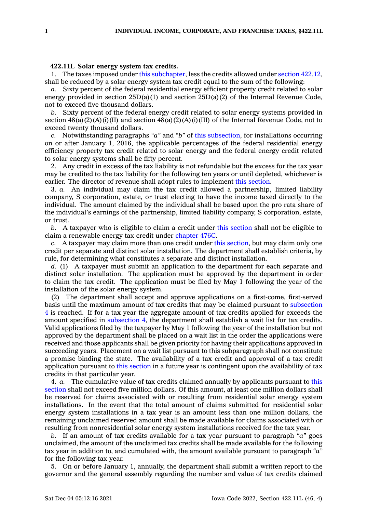## **422.11L Solar energy system tax credits.**

1. The taxes imposed under this [subchapter](https://www.legis.iowa.gov/docs/code//422.pdf), less the credits allowed under section [422.12](https://www.legis.iowa.gov/docs/code/422.12.pdf), shall be reduced by <sup>a</sup> solar energy system tax credit equal to the sum of the following:

*a.* Sixty percent of the federal residential energy efficient property credit related to solar energy provided in section  $25D(a)(1)$  and section  $25D(a)(2)$  of the Internal Revenue Code, not to exceed five thousand dollars.

*b.* Sixty percent of the federal energy credit related to solar energy systems provided in section  $48(a)(2)(A)(i)(II)$  and section  $48(a)(2)(A)(i)(III)$  of the Internal Revenue Code, not to exceed twenty thousand dollars.

*c.* Notwithstanding paragraphs *"a"* and *"b"* of this [subsection](https://www.legis.iowa.gov/docs/code/422.11L.pdf), for installations occurring on or after January 1, 2016, the applicable percentages of the federal residential energy efficiency property tax credit related to solar energy and the federal energy credit related to solar energy systems shall be fifty percent.

2. Any credit in excess of the tax liability is not refundable but the excess for the tax year may be credited to the tax liability for the following ten years or until depleted, whichever is earlier. The director of revenue shall adopt rules to implement this [section](https://www.legis.iowa.gov/docs/code/422.11L.pdf).

3. *a.* An individual may claim the tax credit allowed <sup>a</sup> partnership, limited liability company, S corporation, estate, or trust electing to have the income taxed directly to the individual. The amount claimed by the individual shall be based upon the pro rata share of the individual's earnings of the partnership, limited liability company, S corporation, estate, or trust.

*b.* A taxpayer who is eligible to claim <sup>a</sup> credit under this [section](https://www.legis.iowa.gov/docs/code/422.11L.pdf) shall not be eligible to claim <sup>a</sup> renewable energy tax credit under [chapter](https://www.legis.iowa.gov/docs/code//476C.pdf) 476C.

*c.* A taxpayer may claim more than one credit under this [section](https://www.legis.iowa.gov/docs/code/422.11L.pdf), but may claim only one credit per separate and distinct solar installation. The department shall establish criteria, by rule, for determining what constitutes <sup>a</sup> separate and distinct installation.

*d.* (1) A taxpayer must submit an application to the department for each separate and distinct solar installation. The application must be approved by the department in order to claim the tax credit. The application must be filed by May 1 following the year of the installation of the solar energy system.

The department shall accept and approve applications on a first-come, first-served basis until the maximum amount of tax credits that may be claimed pursuant to [subsection](https://www.legis.iowa.gov/docs/code/422.11L.pdf) [4](https://www.legis.iowa.gov/docs/code/422.11L.pdf) is reached. If for <sup>a</sup> tax year the aggregate amount of tax credits applied for exceeds the amount specified in [subsection](https://www.legis.iowa.gov/docs/code/422.11L.pdf) 4, the department shall establish <sup>a</sup> wait list for tax credits. Valid applications filed by the taxpayer by May 1 following the year of the installation but not approved by the department shall be placed on <sup>a</sup> wait list in the order the applications were received and those applicants shall be given priority for having their applications approved in succeeding years. Placement on <sup>a</sup> wait list pursuant to this subparagraph shall not constitute <sup>a</sup> promise binding the state. The availability of <sup>a</sup> tax credit and approval of <sup>a</sup> tax credit application pursuant to this [section](https://www.legis.iowa.gov/docs/code/422.11L.pdf) in <sup>a</sup> future year is contingent upon the availability of tax credits in that particular year.

4. *a.* The cumulative value of tax credits claimed annually by applicants pursuant to [this](https://www.legis.iowa.gov/docs/code/422.11L.pdf) [section](https://www.legis.iowa.gov/docs/code/422.11L.pdf) shall not exceed five million dollars. Of this amount, at least one million dollars shall be reserved for claims associated with or resulting from residential solar energy system installations. In the event that the total amount of claims submitted for residential solar energy system installations in <sup>a</sup> tax year is an amount less than one million dollars, the remaining unclaimed reserved amount shall be made available for claims associated with or resulting from nonresidential solar energy system installations received for the tax year.

*b.* If an amount of tax credits available for <sup>a</sup> tax year pursuant to paragraph *"a"* goes unclaimed, the amount of the unclaimed tax credits shall be made available for the following tax year in addition to, and cumulated with, the amount available pursuant to paragraph *"a"* for the following tax year.

5. On or before January 1, annually, the department shall submit <sup>a</sup> written report to the governor and the general assembly regarding the number and value of tax credits claimed